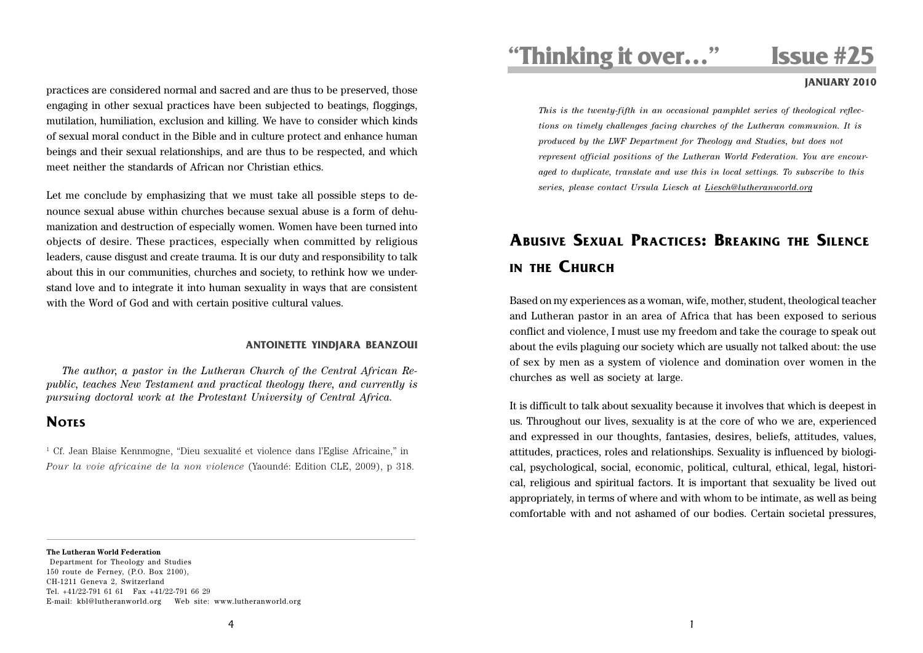practices are considered normal and sacred and are thus to be preserved, those engaging in other sexual practices have been subjected to beatings, floggings, mutilation, humiliation, exclusion and killing. We have to consider which kinds of sexual moral conduct in the Bible and in culture protect and enhance human beings and their sexual relationships, and are thus to be respected, and which meet neither the standards of African nor Christian ethics.

Let me conclude by emphasizing that we must take all possible steps to denounce sexual abuse within churches because sexual abuse is a form of dehumanization and destruction of especially women. Women have been turned into objects of desire. These practices, especially when committed by religious leaders, cause disgust and create trauma. It is our duty and responsibility to talk about this in our communities, churches and society, to rethink how we understand love and to integrate it into human sexuality in ways that are consistent with the Word of God and with certain positive cultural values.

### **ANTOINETTE YINDJARA BEANZOUI**

*The author, a pastor in the Lutheran Church of the Central African Republic, teaches New Testament and practical theology there, and currently is pursuing doctoral work at the Protestant University of Central Africa.*

## **NOTES**

1 Cf. Jean Blaise Kennmogne, "Dieu sexualité et violence dans l'Eglise Africaine," in *Pour la voie africaine de la non violence* (Yaoundé: Edition CLE, 2009), p 318.

# **"Thinking it over…" Issue #25**

### **JANUARY 2010**

*This is the twenty-fifth in an occasional pamphlet series of theological reflections on timely challenges facing churches of the Lutheran communion. It is produced by the LWF Department for Theology and Studies, but does not represent official positions of the Lutheran World Federation. You are encouraged to duplicate, translate and use this in local settings. To subscribe to this series, please contact Ursula Liesch at Liesch@lutheranworld.org*

# **ABUSIVE SEXUAL PRACTICES: BREAKING THE SILENCE IN THE CHURCH**

Based on my experiences as a woman, wife, mother, student, theological teacher and Lutheran pastor in an area of Africa that has been exposed to serious conflict and violence, I must use my freedom and take the courage to speak out about the evils plaguing our society which are usually not talked about: the use of sex by men as a system of violence and domination over women in the churches as well as society at large.

It is difficult to talk about sexuality because it involves that which is deepest in us. Throughout our lives, sexuality is at the core of who we are, experienced and expressed in our thoughts, fantasies, desires, beliefs, attitudes, values, attitudes, practices, roles and relationships. Sexuality is influenced by biological, psychological, social, economic, political, cultural, ethical, legal, historical, religious and spiritual factors. It is important that sexuality be lived out appropriately, in terms of where and with whom to be intimate, as well as being comfortable with and not ashamed of our bodies. Certain societal pressures,

### **The Lutheran World Federation**

 Department for Theology and Studies 150 route de Ferney, (P.O. Box 2100), CH-1211 Geneva 2, Switzerland Tel. +41/22-791 61 61 Fax +41/22-791 66 29 E-mail: kbl@lutheranworld.org Web site: www.lutheranworld.org